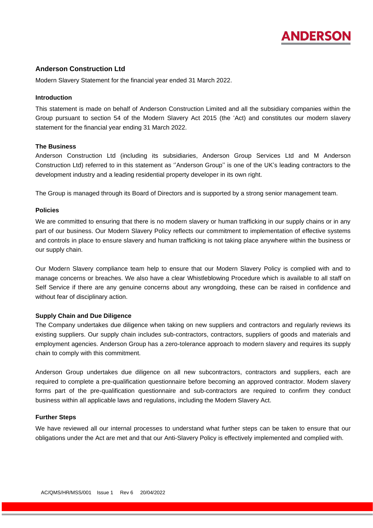

# **Anderson Construction Ltd**

Modern Slavery Statement for the financial year ended 31 March 2022.

#### **Introduction**

This statement is made on behalf of Anderson Construction Limited and all the subsidiary companies within the Group pursuant to section 54 of the Modern Slavery Act 2015 (the 'Act) and constitutes our modern slavery statement for the financial year ending 31 March 2022.

#### **The Business**

Anderson Construction Ltd (including its subsidiaries, Anderson Group Services Ltd and M Anderson Construction Ltd) referred to in this statement as ''Anderson Group'' is one of the UK's leading contractors to the development industry and a leading residential property developer in its own right.

The Group is managed through its Board of Directors and is supported by a strong senior management team.

### **Policies**

We are committed to ensuring that there is no modern slavery or human trafficking in our supply chains or in any part of our business. Our Modern Slavery Policy reflects our commitment to implementation of effective systems and controls in place to ensure slavery and human trafficking is not taking place anywhere within the business or our supply chain.

Our Modern Slavery compliance team help to ensure that our Modern Slavery Policy is complied with and to manage concerns or breaches. We also have a clear Whistleblowing Procedure which is available to all staff on Self Service if there are any genuine concerns about any wrongdoing, these can be raised in confidence and without fear of disciplinary action.

#### **Supply Chain and Due Diligence**

The Company undertakes due diligence when taking on new suppliers and contractors and regularly reviews its existing suppliers. Our supply chain includes sub-contractors, contractors, suppliers of goods and materials and employment agencies. Anderson Group has a zero-tolerance approach to modern slavery and requires its supply chain to comply with this commitment.

Anderson Group undertakes due diligence on all new subcontractors, contractors and suppliers, each are required to complete a pre-qualification questionnaire before becoming an approved contractor. Modern slavery forms part of the pre-qualification questionnaire and sub-contractors are required to confirm they conduct business within all applicable laws and regulations, including the Modern Slavery Act.

## **Further Steps**

We have reviewed all our internal processes to understand what further steps can be taken to ensure that our obligations under the Act are met and that our Anti-Slavery Policy is effectively implemented and complied with.